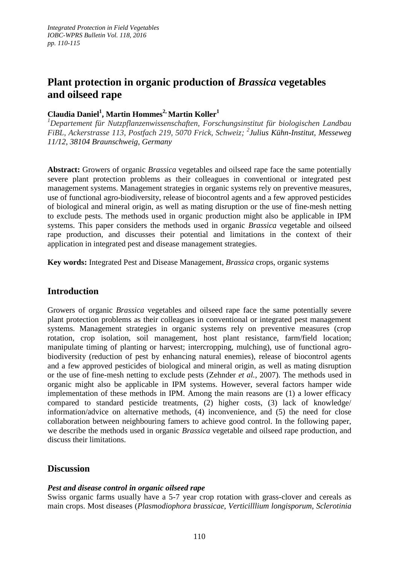# **Plant protection in organic production of** *Brassica* **vegetables and oilseed rape**

## **Claudia Daniel<sup>1</sup> , Martin Hommes2, Martin Koller<sup>1</sup>**

*<sup>1</sup>Departement für Nutzpflanzenwissenschaften, Forschungsinstitut für biologischen Landbau FiBL, Ackerstrasse 113, Postfach 219, 5070 Frick, Schweiz; 2 Julius Kühn-Institut, Messeweg 11/12, 38104 Braunschweig, Germany*

**Abstract:** Growers of organic *Brassica* vegetables and oilseed rape face the same potentially severe plant protection problems as their colleagues in conventional or integrated pest management systems. Management strategies in organic systems rely on preventive measures, use of functional agro-biodiversity, release of biocontrol agents and a few approved pesticides of biological and mineral origin, as well as mating disruption or the use of fine-mesh netting to exclude pests. The methods used in organic production might also be applicable in IPM systems. This paper considers the methods used in organic *Brassica* vegetable and oilseed rape production, and discusses their potential and limitations in the context of their application in integrated pest and disease management strategies.

**Key words:** Integrated Pest and Disease Management, *Brassica* crops, organic systems

# **Introduction**

Growers of organic *Brassica* vegetables and oilseed rape face the same potentially severe plant protection problems as their colleagues in conventional or integrated pest management systems. Management strategies in organic systems rely on preventive measures (crop rotation, crop isolation, soil management, host plant resistance, farm/field location; manipulate timing of planting or harvest; intercropping, mulching), use of functional agrobiodiversity (reduction of pest by enhancing natural enemies), release of biocontrol agents and a few approved pesticides of biological and mineral origin, as well as mating disruption or the use of fine-mesh netting to exclude pests (Zehnder *et al.*, 2007). The methods used in organic might also be applicable in IPM systems. However, several factors hamper wide implementation of these methods in IPM. Among the main reasons are (1) a lower efficacy compared to standard pesticide treatments, (2) higher costs, (3) lack of knowledge/ information/advice on alternative methods, (4) inconvenience, and (5) the need for close collaboration between neighbouring famers to achieve good control. In the following paper, we describe the methods used in organic *Brassica* vegetable and oilseed rape production, and discuss their limitations.

# **Discussion**

### *Pest and disease control in organic oilseed rape*

Swiss organic farms usually have a 5-7 year crop rotation with grass-clover and cereals as main crops. Most diseases (*Plasmodiophora brassicae*, *Verticilllium longisporum*, *Sclerotinia*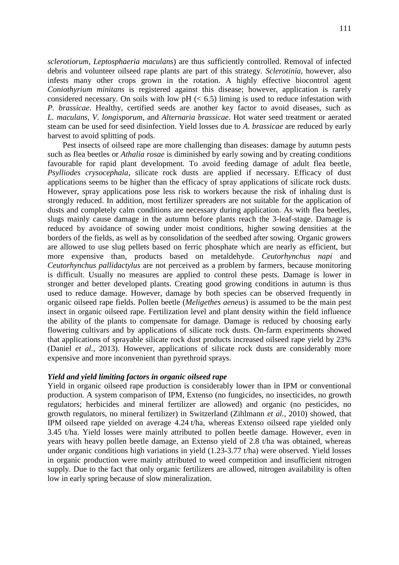*sclerotiorum*, *Leptosphaeria maculans*) are thus sufficiently controlled. Removal of infected debris and volunteer oilseed rape plants are part of this strategy. *Sclerotinia*, however, also infests many other crops grown in the rotation. A highly effective biocontrol agent *Coniothyrium minitans* is registered against this disease; however, application is rarely considered necessary. On soils with low  $pH \approx 6.5$ ) liming is used to reduce infestation with *P. brassicae*. Healthy, certified seeds are another key factor to avoid diseases, such as *L. maculans*, *V. longisporum*, and *Alternaria brassicae*. Hot water seed treatment or aerated steam can be used for seed disinfection. Yield losses due to *A. brassicae* are reduced by early harvest to avoid splitting of pods.

Pest insects of oilseed rape are more challenging than diseases: damage by autumn pests such as flea beetles or *Athalia rosae* is diminished by early sowing and by creating conditions favourable for rapid plant development. To avoid feeding damage of adult flea beetle, *Psylliodes crysocephala*, silicate rock dusts are applied if necessary. Efficacy of dust applications seems to be higher than the efficacy of spray applications of silicate rock dusts. However, spray applications pose less risk to workers because the risk of inhaling dust is strongly reduced. In addition, most fertilizer spreaders are not suitable for the application of dusts and completely calm conditions are necessary during application. As with flea beetles, slugs mainly cause damage in the autumn before plants reach the 3-leaf-stage. Damage is reduced by avoidance of sowing under moist conditions, higher sowing densities at the borders of the fields, as well as by consolidation of the seedbed after sowing. Organic growers are allowed to use slug pellets based on ferric phosphate which are nearly as efficient, but more expensive than, products based on metaldehyde. *Ceutorhynchus napi* and *Ceutorhynchus pallidactylus* are not perceived as a problem by farmers, because monitoring is difficult. Usually no measures are applied to control these pests. Damage is lower in stronger and better developed plants. Creating good growing conditions in autumn is thus used to reduce damage. However, damage by both species can be observed frequently in organic oilseed rape fields. Pollen beetle (*Meligethes aeneus*) is assumed to be the main pest insect in organic oilseed rape. Fertilization level and plant density within the field influence the ability of the plants to compensate for damage. Damage is reduced by choosing early flowering cultivars and by applications of silicate rock dusts. On-farm experiments showed that applications of sprayable silicate rock dust products increased oilseed rape yield by 23% (Daniel *et al.*, 2013). However, applications of silicate rock dusts are considerably more expensive and more inconvenient than pyrethroid sprays.

#### *Yield and yield limiting factors in organic oilseed rape*

Yield in organic oilseed rape production is considerably lower than in IPM or conventional production. A system comparison of IPM, Extenso (no fungicides, no insecticides, no growth regulators; herbicides and mineral fertilizer are allowed) and organic (no pesticides, no growth regulators, no mineral fertilizer) in Switzerland (Zihlmann *et al.*, 2010) showed, that IPM oilseed rape yielded on average 4.24 t/ha, whereas Extenso oilseed rape yielded only 3.45 t/ha. Yield losses were mainly attributed to pollen beetle damage. However, even in years with heavy pollen beetle damage, an Extenso yield of 2.8 t/ha was obtained, whereas under organic conditions high variations in yield (1.23-3.77 t/ha) were observed. Yield losses in organic production were mainly attributed to weed competition and insufficient nitrogen supply. Due to the fact that only organic fertilizers are allowed, nitrogen availability is often low in early spring because of slow mineralization.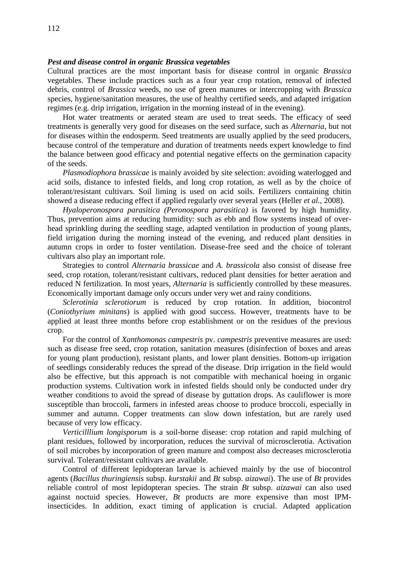#### *Pest and disease control in organic Brassica vegetables*

Cultural practices are the most important basis for disease control in organic *Brassica*  vegetables. These include practices such as a four year crop rotation, removal of infected debris, control of *Brassica* weeds, no use of green manures or intercropping with *Brassica*  species, hygiene/sanitation measures, the use of healthy certified seeds, and adapted irrigation regimes (e.g. drip irrigation, irrigation in the morning instead of in the evening).

Hot water treatments or aerated steam are used to treat seeds. The efficacy of seed treatments is generally very good for diseases on the seed surface, such as *Alternaria*, but not for diseases within the endosperm. Seed treatments are usually applied by the seed producers, because control of the temperature and duration of treatments needs expert knowledge to find the balance between good efficacy and potential negative effects on the germination capacity of the seeds.

*Plasmodiophora brassicae* is mainly avoided by site selection: avoiding waterlogged and acid soils, distance to infested fields, and long crop rotation, as well as by the choice of tolerant/resistant cultivars. Soil liming is used on acid soils. Fertilizers containing chitin showed a disease reducing effect if applied regularly over several years (Heller *et al.*, 2008).

*Hyaloperonospora parasitica (Peronospora parasitica)* is favored by high humidity. Thus, prevention aims at reducing humidity: such as ebb and flow systems instead of overhead sprinkling during the seedling stage, adapted ventilation in production of young plants, field irrigation during the morning instead of the evening, and reduced plant densities in autumn crops in order to foster ventilation. Disease-free seed and the choice of tolerant cultivars also play an important role.

Strategies to control *Alternaria brassicae* and *A. brassicola* also consist of disease free seed, crop rotation, tolerant/resistant cultivars, reduced plant densities for better aeration and reduced N fertilization. In most years, *Alternaria* is sufficiently controlled by these measures. Economically important damage only occurs under very wet and rainy conditions.

*Sclerotinia sclerotiorum* is reduced by crop rotation. In addition, biocontrol (*Coniothyrium minitans*) is applied with good success. However, treatments have to be applied at least three months before crop establishment or on the residues of the previous crop.

For the control of *Xanthomonas campestris* pv. *campestris* preventive measures are used: such as disease free seed, crop rotation, sanitation measures (disinfection of boxes and areas for young plant production), resistant plants, and lower plant densities. Bottom-up irrigation of seedlings considerably reduces the spread of the disease. Drip irrigation in the field would also be effective, but this approach is not compatible with mechanical hoeing in organic production systems. Cultivation work in infested fields should only be conducted under dry weather conditions to avoid the spread of disease by guttation drops. As cauliflower is more susceptible than broccoli, farmers in infested areas choose to produce broccoli, especially in summer and autumn. Copper treatments can slow down infestation, but are rarely used because of very low efficacy.

*Verticilllium longisporum* is a soil-borne disease: crop rotation and rapid mulching of plant residues, followed by incorporation, reduces the survival of microsclerotia. Activation of soil microbes by incorporation of green manure and compost also decreases microsclerotia survival. Tolerant/resistant cultivars are available.

Control of different lepidopteran larvae is achieved mainly by the use of biocontrol agents (*Bacillus thuringiensis* subsp. *kurstakii* and *Bt* subsp. *aizawai*). The use of *Bt* provides reliable control of most lepidopteran species. The strain *Bt* subsp. *aizawai* can also used against noctuid species. However, *Bt* products are more expensive than most IPMinsecticides. In addition, exact timing of application is crucial. Adapted application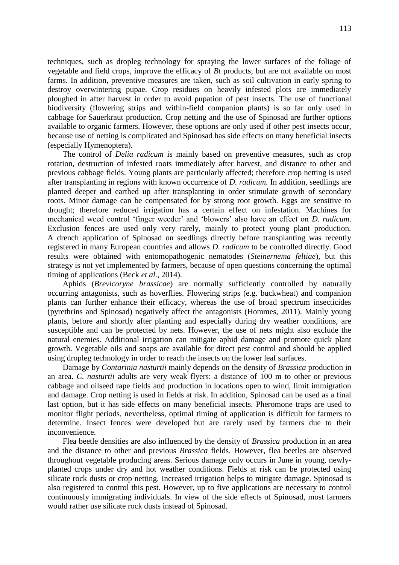techniques, such as dropleg technology for spraying the lower surfaces of the foliage of vegetable and field crops, improve the efficacy of *Bt* products, but are not available on most farms. In addition, preventive measures are taken, such as soil cultivation in early spring to destroy overwintering pupae. Crop residues on heavily infested plots are immediately ploughed in after harvest in order to avoid pupation of pest insects. The use of functional biodiversity (flowering strips and within-field companion plants) is so far only used in cabbage for Sauerkraut production. Crop netting and the use of Spinosad are further options available to organic farmers. However, these options are only used if other pest insects occur, because use of netting is complicated and Spinosad has side effects on many beneficial insects (especially Hymenoptera).

The control of *Delia radicum* is mainly based on preventive measures, such as crop rotation, destruction of infested roots immediately after harvest, and distance to other and previous cabbage fields. Young plants are particularly affected; therefore crop netting is used after transplanting in regions with known occurrence of *D. radicum.* In addition, seedlings are planted deeper and earthed up after transplanting in order stimulate growth of secondary roots. Minor damage can be compensated for by strong root growth. Eggs are sensitive to drought; therefore reduced irrigation has a certain effect on infestation. Machines for mechanical weed control 'finger weeder' and 'blowers' also have an effect on *D. radicum*. Exclusion fences are used only very rarely, mainly to protect young plant production. A drench application of Spinosad on seedlings directly before transplanting was recently registered in many European countries and allows *D. radicum* to be controlled directly. Good results were obtained with entomopathogenic nematodes (*Steinernema feltiae*), but this strategy is not yet implemented by farmers, because of open questions concerning the optimal timing of applications (Beck *et al.*, 2014).

Aphids (*Brevicoryne brassicae*) are normally sufficiently controlled by naturally occurring antagonists, such as hoverflies. Flowering strips (e.g. buckwheat) and companion plants can further enhance their efficacy, whereas the use of broad spectrum insecticides (pyrethrins and Spinosad) negatively affect the antagonists (Hommes, 2011). Mainly young plants, before and shortly after planting and especially during dry weather conditions, are susceptible and can be protected by nets. However, the use of nets might also exclude the natural enemies. Additional irrigation can mitigate aphid damage and promote quick plant growth. Vegetable oils and soaps are available for direct pest control and should be applied using dropleg technology in order to reach the insects on the lower leaf surfaces.

Damage by *Contarinia nasturtii* mainly depends on the density of *Brassica* production in an area. *C. nasturtii* adults are very weak flyers: a distance of 100 m to other or previous cabbage and oilseed rape fields and production in locations open to wind, limit immigration and damage. Crop netting is used in fields at risk. In addition, Spinosad can be used as a final last option, but it has side effects on many beneficial insects. Pheromone traps are used to monitor flight periods, nevertheless, optimal timing of application is difficult for farmers to determine. Insect fences were developed but are rarely used by farmers due to their inconvenience.

Flea beetle densities are also influenced by the density of *Brassica* production in an area and the distance to other and previous *Brassica* fields. However, flea beetles are observed throughout vegetable producing areas. Serious damage only occurs in June in young, newlyplanted crops under dry and hot weather conditions. Fields at risk can be protected using silicate rock dusts or crop netting. Increased irrigation helps to mitigate damage. Spinosad is also registered to control this pest. However, up to five applications are necessary to control continuously immigrating individuals. In view of the side effects of Spinosad, most farmers would rather use silicate rock dusts instead of Spinosad.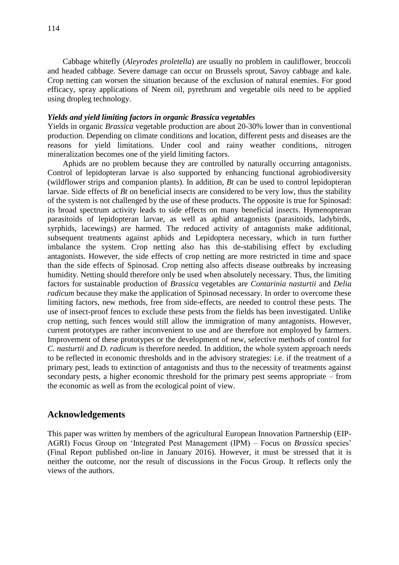Cabbage whitefly (*Aleyrodes proletella*) are usually no problem in cauliflower, broccoli and headed cabbage. Severe damage can occur on Brussels sprout, Savoy cabbage and kale. Crop netting can worsen the situation because of the exclusion of natural enemies. For good efficacy, spray applications of Neem oil, pyrethrum and vegetable oils need to be applied using dropleg technology.

### *Yields and yield limiting factors in organic Brassica vegetables*

Yields in organic *Brassica* vegetable production are about 20-30% lower than in conventional production. Depending on climate conditions and location, different pests and diseases are the reasons for yield limitations. Under cool and rainy weather conditions, nitrogen mineralization becomes one of the yield limiting factors.

Aphids are no problem because they are controlled by naturally occurring antagonists. Control of lepidopteran larvae is also supported by enhancing functional agrobiodiversity (wildflower strips and companion plants). In addition, *Bt* can be used to control lepidopteran larvae. Side effects of *Bt* on beneficial insects are considered to be very low, thus the stability of the system is not challenged by the use of these products. The opposite is true for Spinosad: its broad spectrum activity leads to side effects on many beneficial insects. Hymenopteran parasitoids of lepidopteran larvae, as well as aphid antagonists (parasitoids, ladybirds, syrphids, lacewings) are harmed. The reduced activity of antagonists make additional, subsequent treatments against aphids and Lepidoptera necessary, which in turn further imbalance the system. Crop netting also has this de-stabilising effect by excluding antagonists. However, the side effects of crop netting are more restricted in time and space than the side effects of Spinosad. Crop netting also affects disease outbreaks by increasing humidity. Netting should therefore only be used when absolutely necessary. Thus, the limiting factors for sustainable production of *Brassica* vegetables are *Contarinia nasturtii* and *Delia radicum* because they make the application of Spinosad necessary. In order to overcome these limiting factors, new methods, free from side-effects, are needed to control these pests. The use of insect-proof fences to exclude these pests from the fields has been investigated. Unlike crop netting, such fences would still allow the immigration of many antagonists. However, current prototypes are rather inconvenient to use and are therefore not employed by farmers. Improvement of these prototypes or the development of new, selective methods of control for *C. nasturtii* and *D. radicum* is therefore needed. In addition, the whole system approach needs to be reflected in economic thresholds and in the advisory strategies: i.e. if the treatment of a primary pest, leads to extinction of antagonists and thus to the necessity of treatments against secondary pests, a higher economic threshold for the primary pest seems appropriate – from the economic as well as from the ecological point of view.

### **Acknowledgements**

This paper was written by members of the agricultural European Innovation Partnership (EIP-AGRI) Focus Group on 'Integrated Pest Management (IPM) – Focus on *Brassica* species' (Final Report published on-line in January 2016). However, it must be stressed that it is neither the outcome, nor the result of discussions in the Focus Group. It reflects only the views of the authors.